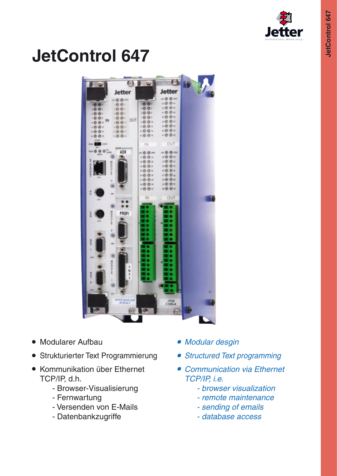

# **JetControl 647**



- Modularer Aufbau
- Strukturierter Text Programmierung
- Kommunikation über Ethernet TCP/IP, d.h.
	- Browser-Visualisierung
	- Fernwartung
	- Versenden von E-Mails
	- Datenbankzugriffe
- Modular desgin
- Structured Text programming
- Communication via Ethernet TCP/IP, i.e.
	- browser visualization
	- remote maintenance
	- sending of emails
	- database access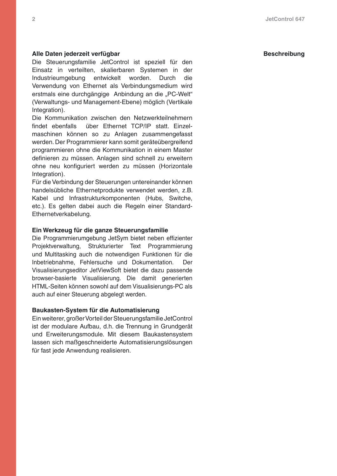### **Alle Daten jederzeit verfügbar Beschreibung**

Die Steuerungsfamilie JetControl ist speziell für den Einsatz in verteilten, skalierbaren Systemen in der Industrieumgebung entwickelt worden. Durch die Verwendung von Ethernet als Verbindungsmedium wird erstmals eine durchgängige Anbindung an die "PC-Welt" (Verwaltungs- und Management-Ebene) möglich (Vertikale Integration).

Die Kommunikation zwischen den Netzwerkteilnehmern findet ebenfalls über Ethernet TCP/IP statt. Einzelmaschinen können so zu Anlagen zusammengefasst werden. Der Programmierer kann somit geräteübergreifend programmieren ohne die Kommunikation in einem Master definieren zu müssen. Anlagen sind schnell zu erweitern ohne neu konfiguriert werden zu müssen (Horizontale Integration).

Für die Verbindung der Steuerungen untereinander können handelsübliche Ethernetprodukte verwendet werden, z.B. Kabel und Infrastrukturkomponenten (Hubs, Switche, etc.). Es gelten dabei auch die Regeln einer Standard-Ethernetverkabelung.

### **Ein Werkzeug für die ganze Steuerungsfamilie**

Die Programmierumgebung JetSym bietet neben effizienter Projektverwaltung, Strukturierter Text Programmierung und Multitasking auch die notwendigen Funktionen für die Inbetriebnahme, Fehlersuche und Dokumentation. Der Visualisierungseditor JetViewSoft bietet die dazu passende browser-basierte Visualisierung. Die damit generierten HTML-Seiten können sowohl auf dem Visualisierungs-PC als auch auf einer Steuerung abgelegt werden.

#### **Baukasten-System für die Automatisierung**

Ein weiterer, großer Vorteil der Steuerungsfamilie JetControl ist der modulare Aufbau, d.h. die Trennung in Grundgerät und Erweiterungsmodule. Mit diesem Baukastensystem lassen sich maßgeschneiderte Automatisierungslösungen für fast jede Anwendung realisieren.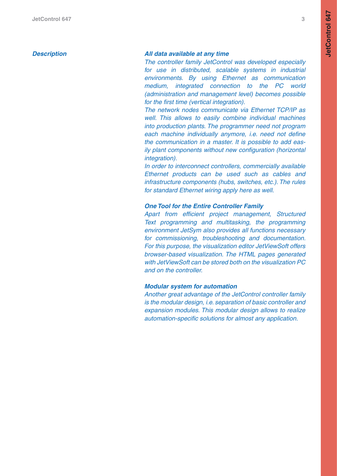### **Description**

### **All data available at any time**

The controller family JetControl was developed especially for use in distributed, scalable systems in industrial environments. By using Ethernet as communication medium, integrated connection to the PC world (administration and management level) becomes possible for the first time (vertical integration).

The network nodes communicate via Ethernet TCP/IP as well. This allows to easily combine individual machines into production plants. The programmer need not program each machine individually anymore, i.e. need not define the communication in a master. It is possible to add eas ily plant components without new configuration (horizontal integration).

In order to interconnect controllers, commercially available Ethernet products can be used such as cables and infrastructure components (hubs, switches, etc.). The rules for standard Ethernet wiring apply here as well.

#### **One Tool for the Entire Controller Family**

Apart from efficient project management, Structured Text programming and multitasking, the programming environment JetSym also provides all functions necessary for commissioning, troubleshooting and documentation. For this purpose, the visualization editor JetViewSoft offers browser-based visualization. The HTML pages generated with JetViewSoft can be stored both on the visualization PC and on the controller.

#### **Modular system for automation**

Another great advantage of the JetControl controller family is the modular design, i.e. separation of basic controller and expansion modules. This modular design allows to realize automation-specific solutions for almost any application.

**JetControl 647**

**JetControl 647**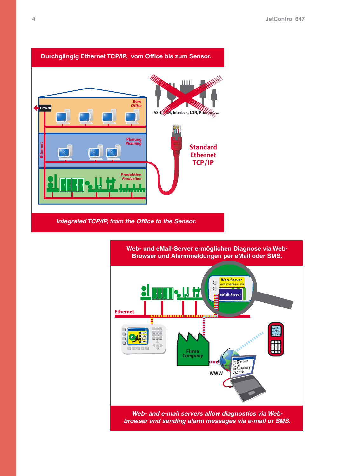

Integrated TCP/IP, from the Office to the Sensor.



browser and sending alarm messages via e-mail or SMS.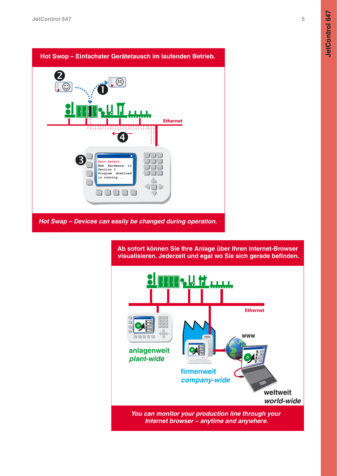5



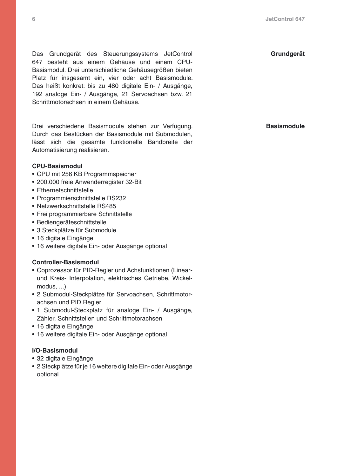Das Grundgerät des Steuerungssystems JetControl 647 besteht aus einem Gehäuse und einem CPU-Basismodul. Drei unterschiedliche Gehäusegrößen bieten Platz für insgesamt ein, vier oder acht Basismodule. Das heißt konkret: bis zu 480 digitale Ein- / Ausgänge, 192 analoge Ein- / Ausgänge, 21 Servoachsen bzw. 21 Schrittmotorachsen in einem Gehäuse.

Drei verschiedene Basismodule stehen zur Verfügung. Durch das Bestücken der Basismodule mit Submodulen, lässt sich die gesamte funktionelle Bandbreite der Automatisierung realisieren.

#### **CPU-Basismodul**

- CPU mit 256 KB Programmspeicher
- 200.000 freie Anwenderregister 32-Bit
- Ethernetschnittstelle
- Programmierschnittstelle RS232
- Netzwerkschnittstelle RS485
- Frei programmierbare Schnittstelle
- Bediengeräteschnittstelle
- 3 Steckplätze für Submodule
- 16 digitale Eingänge
- 16 weitere digitale Ein- oder Ausgänge optional

### **Controller-Basismodul**

- Coprozessor für PID-Regler und Achsfunktionen (Linearund Kreis- Interpolation, elektrisches Getriebe, Wickelmodus, ...)
- 2 Submodul-Steckplätze für Servoachsen, Schrittmotorachsen und PID Regler
- 1 Submodul-Steckplatz für analoge Ein- / Ausgänge, Zähler, Schnittstellen und Schrittmotorachsen
- 16 digitale Eingänge
- 16 weitere digitale Ein- oder Ausgänge optional

### **I/O-Basismodul**

- 32 digitale Eingänge
- 2 Steckplätze für je 16 weitere digitale Ein- oder Ausgänge optional

**Grundgerät**

**Basismodule**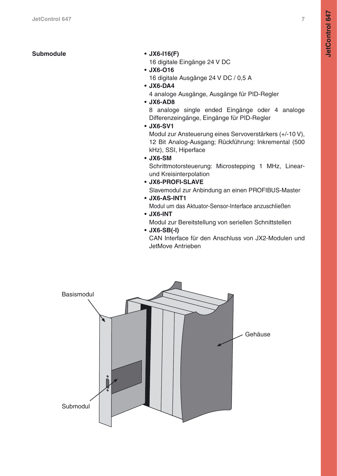**Submodule • JX6-I16(F)**

16 digitale Eingänge 24 V DC

- **JX6-O16** 16 digitale Ausgänge 24 V DC / 0,5 A
- **JX6-DA4**

4 analoge Ausgänge, Ausgänge für PID-Regler

**• JX6-AD8**

8 analoge single ended Eingänge oder 4 analoge Differenzeingänge, Eingänge für PID-Regler

**• JX6-SV1**

Modul zur Ansteuerung eines Servoverstärkers (+/-10 V), 12 Bit Analog-Ausgang; Rückführung: Inkremental (500 kHz), SSI, Hiperface

**• JX6-SM**

Schrittmotorsteuerung: Microstepping 1 MHz, Linearund Kreisinterpolation

**• JX6-PROFI-SLAVE**

Slavemodul zur Anbindung an einen PROFIBUS-Master

**• JX6-AS-INT1**

Modul um das Aktuator-Sensor-Interface anzuschließen

# **• JX6-INT**

Modul zur Bereitstellung von seriellen Schnittstellen

**• JX6-SB(-I)**

CAN Interface für den Anschluss von JX2-Modulen und JetMove Antrieben

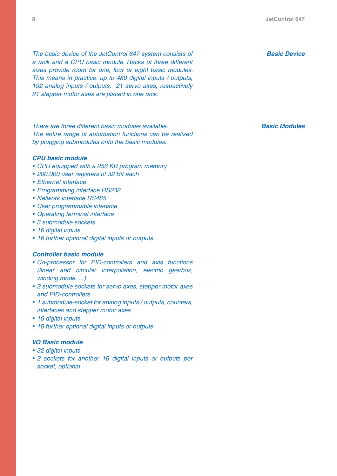The basic device of the JetControl 647 system consists of a rack and a CPU basic module. Racks of three different sizes provide room for one, four or eight basic modules. This means in practice: up to 480 digital inputs / outputs, 192 analog inputs / outputs, 21 servo axes, respectively 21 stepper motor axes are placed in one rack.

There are three different basic modules available. The entire range of automation functions can be realized by plugging submodules onto the basic modules.

#### **CPU basic module**

- CPU equipped with a 256 KB program memory
- 200,000 user registers of 32 Bit each
- Ethernet interface
- Programming interface RS232
- Network interface RS485
- User programmable interface
- Operating terminal interface
- 3 submodule sockets
- 16 digital inputs
- 16 further optional digital inputs or outputs

#### **Controller basic module**

- Co-processor for PID-controllers and axis functions (linear and circular interpolation, electric gearbox, winding mode, ...)
- 2 submodule sockets for servo axes, stepper motor axes and PID-controllers
- 1 submodule-socket for analog inputs / outputs, counters, interfaces and stepper motor axes
- 16 digital inputs
- 16 further optional digital inputs or outputs

### **I/O Basic module**

- 32 digital inputs
- 2 sockets for another 16 digital inputs or outputs per socket, optional

**Basic Device**

**Basic Modules**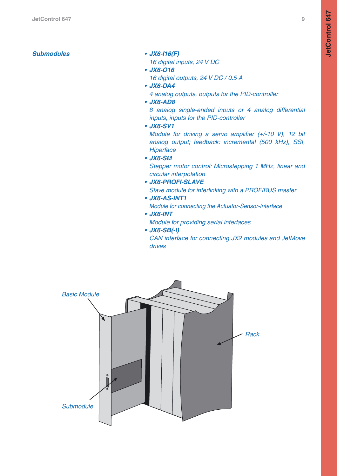- 
- 16 digital inputs, 24 V DC
- **JX6-O16**

16 digital outputs, 24 V DC / 0.5 A

- **JX6-DA4** 4 analog outputs, outputs for the PID-controller
- **JX6-AD8**

8 analog single-ended inputs or 4 analog differential inputs, inputs for the PID-controller

**• JX6-SV1**

Module for driving a servo amplifier (+/-10 V), 12 bit analog output; feedback: incremental (500 kHz), SSI, **Hiperface** 

**• JX6-SM**

Stepper motor control: Microstepping 1 MHz, linear and circular interpolation

- **JX6-PROFI-SLAVE** Slave module for interlinking with a PROFIBUS master
- **JX6-AS-INT1**

Module for connecting the Actuator-Sensor-Interface

# **• JX6-INT**

Module for providing serial interfaces

**• JX6-SB(-I)**

CAN interface for connecting JX2 modules and JetMove drives

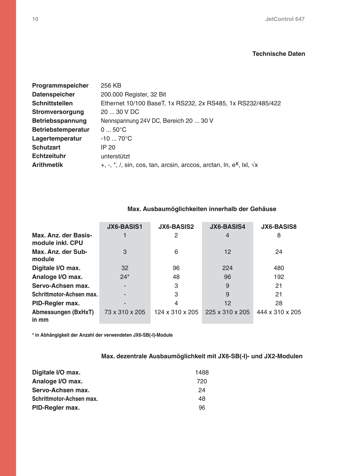# **Technische Daten**

| Programmspeicher          | 256 KB                                                                                          |
|---------------------------|-------------------------------------------------------------------------------------------------|
| <b>Datenspeicher</b>      | 200.000 Register, 32 Bit                                                                        |
| <b>Schnittstellen</b>     | Ethernet 10/100 BaseT, 1x RS232, 2x RS485, 1x RS232/485/422                                     |
| <b>Stromversorgung</b>    | 20  30 V DC                                                                                     |
| Betriebsspannung          | Nennspannung 24V DC, Bereich 20  30 V                                                           |
| <b>Betriebstemperatur</b> | $050^{\circ}C$                                                                                  |
| Lagertemperatur           | $-1070^{\circ}C$                                                                                |
| <b>Schutzart</b>          | IP 20                                                                                           |
| <b>Echtzeituhr</b>        | unterstützt                                                                                     |
| <b>Arithmetik</b>         | +, -, $\kappa$ , /, sin, cos, tan, arcsin, arccos, arctan, ln, e <sup>x</sup> , lxl, $\sqrt{x}$ |

# **Max. Ausbaumöglichkeiten innerhalb der Gehäuse**

|                                          | <b>JX6-BASIS1</b> | <b>JX6-BASIS2</b> | <b>JX6-BASIS4</b> | <b>JX6-BASIS8</b> |
|------------------------------------------|-------------------|-------------------|-------------------|-------------------|
| Max. Anz. der Basis-<br>module inkl. CPU |                   | 2                 | 4                 | 8                 |
| Max. Anz. der Sub-<br>module             | 3                 | 6                 | 12                | 24                |
| Digitale I/O max.                        | 32                | 96                | 224               | 480               |
| Analoge I/O max.                         | $24*$             | 48                | 96                | 192               |
| Servo-Achsen max.                        |                   | 3                 | 9                 | 21                |
| Schrittmotor-Achsen max.                 |                   | 3                 | 9                 | 21                |
| PID-Regler max.                          |                   | 4                 | 12                | 28                |
| <b>Abmessungen (BxHxT)</b><br>in mm      | 73 x 310 x 205    | 124 x 310 x 205   | 225 x 310 x 205   | 444 x 310 x 205   |

**\* in Abhängigkeit der Anzahl der verwendeten JX6-SB(-I)-Module**

# **Max. dezentrale Ausbaumöglichkeit mit JX6-SB(-I)- und JX2-Modulen**

| Digitale I/O max.        | 1488 |
|--------------------------|------|
| Analoge I/O max.         | 720  |
| Servo-Achsen max.        | 24   |
| Schrittmotor-Achsen max. | 48   |
| PID-Regler max.          | 96   |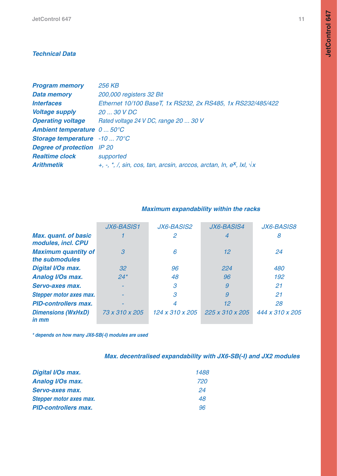# **Technical Data**

| <b>Program memory</b>                | <b>256 KB</b>                                                                                  |
|--------------------------------------|------------------------------------------------------------------------------------------------|
| <b>Data memory</b>                   | 200,000 registers 32 Bit                                                                       |
| <i><b>Interfaces</b></i>             | Ethernet 10/100 BaseT, 1x RS232, 2x RS485, 1x RS232/485/422                                    |
| <b>Voltage supply</b>                | 20  30 V DC                                                                                    |
| <b>Operating voltage</b>             | Rated voltage 24 V DC, range 20  30 V                                                          |
| <b>Ambient temperature</b> 0 50°C    |                                                                                                |
| <b>Storage temperature</b> -10  70°C |                                                                                                |
| <b>Degree of protection</b> IP 20    |                                                                                                |
| <b>Realtime clock</b>                | supported                                                                                      |
| <b>Arithmetik</b>                    | +, -, $\star$ , /, sin, cos, tan, arcsin, arccos, arctan, ln, e <sup>x</sup> , lxl, $\sqrt{x}$ |

|                                                   | <b>JX6-BASIS1</b> | <b>JX6-BASIS2</b> | <b>JX6-BASIS4</b> | <b>JX6-BASIS8</b> |
|---------------------------------------------------|-------------------|-------------------|-------------------|-------------------|
| <b>Max. quant. of basic</b><br>modules, incl. CPU |                   | 2                 | 4                 | 8                 |
| <b>Maximum quantity of</b><br>the submodules      | 3                 | 6                 | 12                | 24                |
| <b>Digital I/Os max.</b>                          | 32 <sup>°</sup>   | 96                | 224               | 480               |
| <b>Analog I/Os max.</b>                           | $24*$             | 48                | 96                | 192               |
| Servo-axes max.                                   |                   | 3                 | 9                 | 21                |
| Stepper motor axes max.                           |                   | 3                 | 9                 | 21                |
| <b>PID-controllers max.</b>                       |                   |                   | 12                | 28                |
| <b>Dimensions (WxHxD)</b><br>in mm                | 73 x 310 x 205    | 124 x 310 x 205   | 225 x 310 x 205   | 444 x 310 x 205   |

# **Maximum expandability within the racks**

**\* depends on how many JX6-SB(-I) modules are used**

| Max. decentralised expandability with JX6-SB(-I) and JX2 modules |  |  |  |  |  |  |
|------------------------------------------------------------------|--|--|--|--|--|--|
|------------------------------------------------------------------|--|--|--|--|--|--|

| <b>Digital I/Os max.</b>    | 1488 |
|-----------------------------|------|
| <b>Analog I/Os max.</b>     | 720  |
| <b>Servo-axes max.</b>      | 24   |
| Stepper motor axes max.     | 48   |
| <b>PID-controllers max.</b> | 96   |